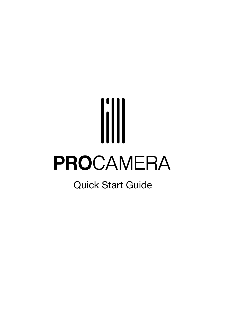# PROCAMERA

Quick Start Guide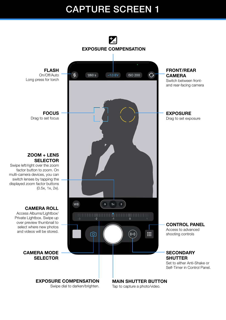# CAPTURE SCREEN 1

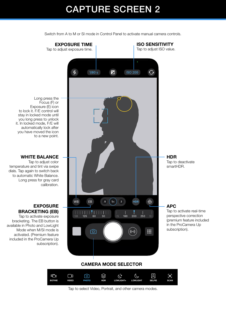# CAPTURE SCREEN 2

EXPOSURE TIME ISO SENSITIVITY Tap to adjust ISO value. Tap to adjust exposure time. X,  $1/80 s$   $\boxed{2}$ **ISO 200** Ō Long press the Focus (F) or Exposure (E) icon to lock it. F/E control will stay in locked mode until you long press to unlock it. In locked mode, F/E will automatically lock after you have moved the icon to a new point. WHITE BALANCE **HDR** Tap to deactivate Tap to adjust color temperature and tint via swipe smartHDR. dials. Tap again to switch back to automatic White Balance. Long press for gray card calibration. WB HDR ⊕ EB  $.5\,$  $1\times$  $\overline{2}$ EXPOSURE APC WB EB **.5 1 2** HDR Tap to activate real-time BRACKETING (EB)  $\begin{array}{|c|c|c|c|c|c|c|c|c|}\n\hline\n\text{1} & \text{1} & \text{1} & \text{1} & \text{1} & \text{1} & \text{1} & \text{1} \\
\text{50} & \text{125} & \text{60} & \text{30} & & & & & 25 & \text{160} & \text{200} \\
\hline\n\end{array}$ perspective correction Tap to activate exposure 250 (premium feature included bracketing. The EB button is available in Photo and LowLight 250 125 60 30 -1 0 in the ProCamera Up Mode when M/SI mode is subscription). ₩ ෨ ((…)) activated. (Premium feature included in the ProCamera Up subscription). CAMERA MODE SELECTOR  $\begin{bmatrix} \mathbb{H} \end{bmatrix}$ **NCM**  $\Box$ ் ⊗  $\vec{C}$  $\overline{C}$ 図 **BOTHIE VIDEO PHOTO HDR LOWLIGHT+ LOWLIGHT SELFIE SCAN**

Switch from A to M or SI mode in Control Panel to activate manual camera controls.

Tap to select Video, Portrait, and other camera modes.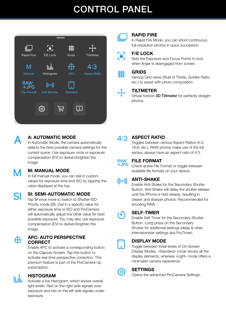# CONTROL PANEL





## RAPID FIRE

In Rapid Fire Mode, you can shoot continuous, full-resolution photos in quick succession.

## F/E LOCK

Sets the Exposure and Focus Points to lock when finger is disengaged from screen.



### GRIDS

Various Grid views (Rule of Thirds, Golden Ratio, etc.) to assist with photo composition.

## TILTMETER

Virtual horizon 3D Tiltmeter for perfectly straight photos.



## A: AUTOMATIC MODE

In Automatic Mode, the camera automatically selects the best possible camera settings for the current scene. Use exposure circle or exposure compensation (EV) to darken/brighten the image.

## M: MANUAL MODE

In full manual mode, you can dial in custom values for exposure time and ISO by tapping the value displayed at the top.

## SI

M

## SI: SEMI-AUTOMATIC MODE

Tap M once more to switch to Shutter-ISO-Priority mode (SI). Dial in a specific value for either exposure time or ISO and ProCamera will automatically adjust the other value for best possible exposure. You may also use exposure compensation (EV) to darken/brighten the image.



## APC: AUTO PERSPECTIVE **CORRECT**

Enable APC to activate a corresponding button on the Capture Screen. Tap this button to activate real-time perspective correction. This premium feature is part of the ProCamera Up subscription.



## HISTOGRAM

Activate a live Histogram, which shows overall light levels. Red on the right side signals overexposure and red on the left side signals underexposure.

## $4:3$

## ASPECT RATIO

Toggles between various Aspect Ratios (4:3; 16:9; etc.). RAW photos make use of the full sensor, always have an aspect ratio of 4:3.



## FILE FORMAT

Check active File Format or toggle between available file formats on your device.

#### ANTI-SHAKE  $((\cdot))$

Enable Anti-Shake for the Secondary Shutter Button. Anti-Shake will delay the shutter release until the iPhone is held steady, resulting in clearer and sharper photos. Recommended for shooting RAW.

## SELF-TIMER

 $(\zeta)$ 

 $\ddot{\phantom{0}}$ 

{၀}

Enable Self-Timer for the Secondary Shutter Button. Long-press on the Secondary Shutter for additional settings (delay & other intervalometer settings aka ProTimer).

## DISPLAY MODE

Toggle between three levels of On-Screen Display Modes. »Standard« mode shows all the display elements, whereas »Light« mode offers a minimalist camera experience.

## SETTINGS

Opens the advanced ProCamera Settings.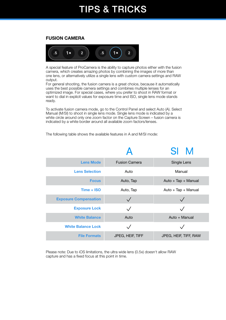## TIPS & TRICKS

## FUSION CAMERA



A special feature of ProCamera is the ability to capture photos either with the fusion camera, which creates amazing photos by combining the images of more than one lens, or alternatively utilize a single lens with custom camera settings and RAW output.

For general shooting, the fusion camera is a great choice, because it automatically uses the best possible camera settings and combines multiple lenses for an optimized image. For special cases, where you prefer to shoot in RAW format or want to dial in explicit values for exposure time and ISO, single lens mode stands ready.

To activate fusion camera mode, go to the Control Panel and select Auto (A). Select Manual (M/SI) to shoot in single lens mode. Single lens mode is indicated by a white circle around only one zoom factor on the Capture Screen – fusion camera is indicated by a white border around all available zoom factors/lenses.

The following table shows the available features in A and M/SI mode:

|                              |                      | SL                    |
|------------------------------|----------------------|-----------------------|
| <b>Lens Mode</b>             | <b>Fusion Camera</b> | Single Lens           |
| <b>Lens Selection</b>        | Auto                 | Manual                |
| <b>Focus</b>                 | Auto, Tap            | Auto + Tap + Manual   |
| $Time + ISO$                 | Auto, Tap            | Auto + Tap + Manual   |
| <b>Exposure Compensation</b> |                      |                       |
| <b>Exposure Lock</b>         |                      |                       |
| <b>White Balance</b>         | Auto                 | Auto + Manual         |
| <b>White Balance Lock</b>    |                      |                       |
| <b>File Formats</b>          | JPEG, HEIF, TIFF     | JPEG, HEIF, TIFF, RAW |

Please note: Due to iOS limitations, the ultra wide lens (0.5x) doesn't allow RAW capture and has a fixed focus at this point in time.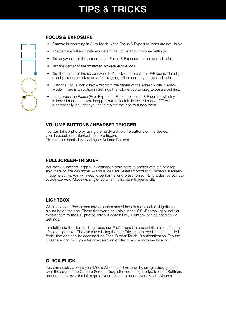## FOCUS & EXPOSURE

- Camera is operating in Auto-Mode when Focus & Exposure icons are not visible.
- The camera will automatically determine Focus and Exposure settings.
- Tap anywhere on the screen to set Focus & Exposure to the desired point.
- Tap the center of the screen to activate Auto-Mode.
- Tap the center of the screen while in Auto-Mode to split the F/E icons. The slight offset provides quick access for dragging either icon to your desired point.
- Drag the Focus icon directly out from the center of the screen while in Auto-Mode. There is an option in Settings that allows you to drag Exposure out first.
- Long press the Focus (F) or Exposure (E) icon to lock it. F/E control will stay in locked mode until you long press to unlock it. In locked mode, F/E will automatically lock after you have moved the icon to a new point.

## VOLUME BUTTONS / HEADSET TRIGGER

You can take a photo by using the hardware volume buttons on the device, your headset, or a Bluetooth remote trigger. This can be enabled via Settings > Volume Buttons.

## FULLSCREEN-TRIGGER

Activate »Fullscreen Trigger« in Settings in order to take photos with a single tap anywhere on the viewfinder — this is ideal for Street Photography. When Fullscreen-Trigger is active, you will need to perform a long press to set F/E to a desired point or to activate Auto-Mode (vs single tap when Fullscreen-Trigger is off).

## LIGHTBOX

When enabled, ProCamera saves photos and videos to a dedicated »Lightbox« album inside the app. These files won't be visible in the iOS »Photos« app until you export them to the iOS photos library (Camera Roll). Lightbox can be enabled via Settings.

In addition to the standard Lightbox, our ProCamera Up subscription also offers the "Private Lightbox". The difference being that the Private Lightbox is a safeguarded folder that can only be accessed via Face ID oder Touch ID authentication. Tap the iOS share icon to copy a file or a selection of files to a specific save location.

## QUICK FLICK

You can quickly access your Media Albums and Settings by using a drag gesture over the edge of the Capture Screen. Drag left over the right edge to open Settings, and drag right over the left edge of your screen to access your Media Albums.